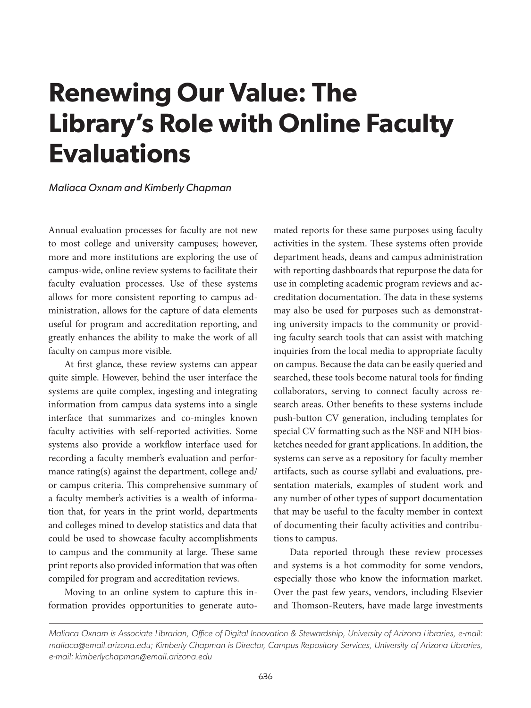# **Renewing Our Value: The Library's Role with Online Faculty Evaluations**

### *Maliaca Oxnam and Kimberly Chapman*

Annual evaluation processes for faculty are not new to most college and university campuses; however, more and more institutions are exploring the use of campus-wide, online review systems to facilitate their faculty evaluation processes. Use of these systems allows for more consistent reporting to campus administration, allows for the capture of data elements useful for program and accreditation reporting, and greatly enhances the ability to make the work of all faculty on campus more visible.

At first glance, these review systems can appear quite simple. However, behind the user interface the systems are quite complex, ingesting and integrating information from campus data systems into a single interface that summarizes and co-mingles known faculty activities with self-reported activities. Some systems also provide a workflow interface used for recording a faculty member's evaluation and performance rating(s) against the department, college and/ or campus criteria. This comprehensive summary of a faculty member's activities is a wealth of information that, for years in the print world, departments and colleges mined to develop statistics and data that could be used to showcase faculty accomplishments to campus and the community at large. These same print reports also provided information that was often compiled for program and accreditation reviews.

Moving to an online system to capture this information provides opportunities to generate auto-

mated reports for these same purposes using faculty activities in the system. These systems often provide department heads, deans and campus administration with reporting dashboards that repurpose the data for use in completing academic program reviews and accreditation documentation. The data in these systems may also be used for purposes such as demonstrating university impacts to the community or providing faculty search tools that can assist with matching inquiries from the local media to appropriate faculty on campus. Because the data can be easily queried and searched, these tools become natural tools for finding collaborators, serving to connect faculty across research areas. Other benefits to these systems include push-button CV generation, including templates for special CV formatting such as the NSF and NIH biosketches needed for grant applications. In addition, the systems can serve as a repository for faculty member artifacts, such as course syllabi and evaluations, presentation materials, examples of student work and any number of other types of support documentation that may be useful to the faculty member in context of documenting their faculty activities and contributions to campus.

Data reported through these review processes and systems is a hot commodity for some vendors, especially those who know the information market. Over the past few years, vendors, including Elsevier and Thomson-Reuters, have made large investments

*Maliaca Oxnam is Associate Librarian, Office of Digital Innovation & Stewardship, University of Arizona Libraries, e-mail: maliaca@email.arizona.edu; Kimberly Chapman is Director, Campus Repository Services, University of Arizona Libraries, e-mail: kimberlychapman@email.arizona.edu*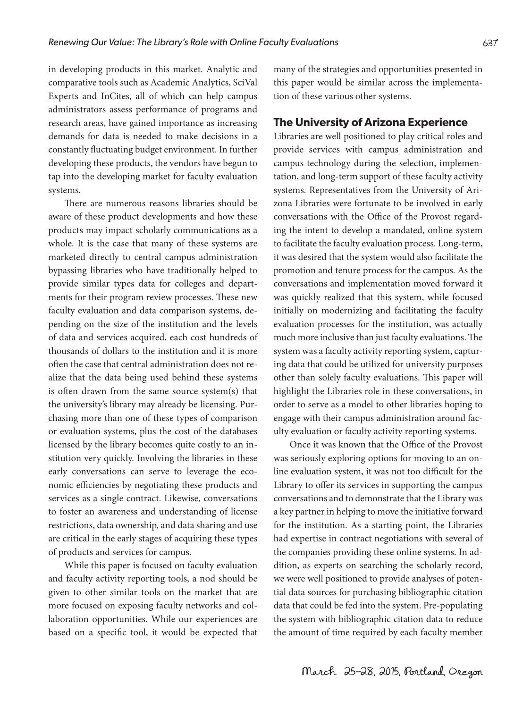in developing products in this market. Analytic and comparative tools such as Academic Analytics, SciVal Experts and InCites, all of which can help campus administrators assess performance of programs and research areas, have gained importance as increasing demands for data is needed to make decisions in a constantly fluctuating budget environment. In further developing these products, the vendors have begun to tap into the developing market for faculty evaluation systems.

There are numerous reasons libraries should be aware of these product developments and how these products may impact scholarly communications as a whole. It is the case that many of these systems are marketed directly to central campus administration bypassing libraries who have traditionally helped to provide similar types data for colleges and departments for their program review processes. These new faculty evaluation and data comparison systems, depending on the size of the institution and the levels of data and services acquired, each cost hundreds of thousands of dollars to the institution and it is more often the case that central administration does not realize that the data being used behind these systems is often drawn from the same source system(s) that the university's library may already be licensing. Purchasing more than one of these types of comparison or evaluation systems, plus the cost of the databases licensed by the library becomes quite costly to an institution very quickly. Involving the libraries in these early conversations can serve to leverage the economic efficiencies by negotiating these products and services as a single contract. Likewise, conversations to foster an awareness and understanding of license restrictions, data ownership, and data sharing and use are critical in the early stages of acquiring these types of products and services for campus.

While this paper is focused on faculty evaluation and faculty activity reporting tools, a nod should be given to other similar tools on the market that are more focused on exposing faculty networks and collaboration opportunities. While our experiences are based on a specific tool, it would be expected that many of the strategies and opportunities presented in this paper would be similar across the implementation of these various other systems.

## **The University of Arizona Experience**

Libraries are well positioned to play critical roles and provide services with campus administration and campus technology during the selection, implementation, and long-term support of these faculty activity systems. Representatives from the University of Arizona Libraries were fortunate to be involved in early conversations with the Office of the Provost regarding the intent to develop a mandated, online system to facilitate the faculty evaluation process. Long-term, it was desired that the system would also facilitate the promotion and tenure process for the campus. As the conversations and implementation moved forward it was quickly realized that this system, while focused initially on modernizing and facilitating the faculty evaluation processes for the institution, was actually much more inclusive than just faculty evaluations. The system was a faculty activity reporting system, capturing data that could be utilized for university purposes other than solely faculty evaluations. This paper will highlight the Libraries role in these conversations, in order to serve as a model to other libraries hoping to engage with their campus administration around faculty evaluation or faculty activity reporting systems.

Once it was known that the Office of the Provost was seriously exploring options for moving to an online evaluation system, it was not too difficult for the Library to offer its services in supporting the campus conversations and to demonstrate that the Library was a key partner in helping to move the initiative forward for the institution. As a starting point, the Libraries had expertise in contract negotiations with several of the companies providing these online systems. In addition, as experts on searching the scholarly record, we were well positioned to provide analyses of potential data sources for purchasing bibliographic citation data that could be fed into the system. Pre-populating the system with bibliographic citation data to reduce the amount of time required by each faculty member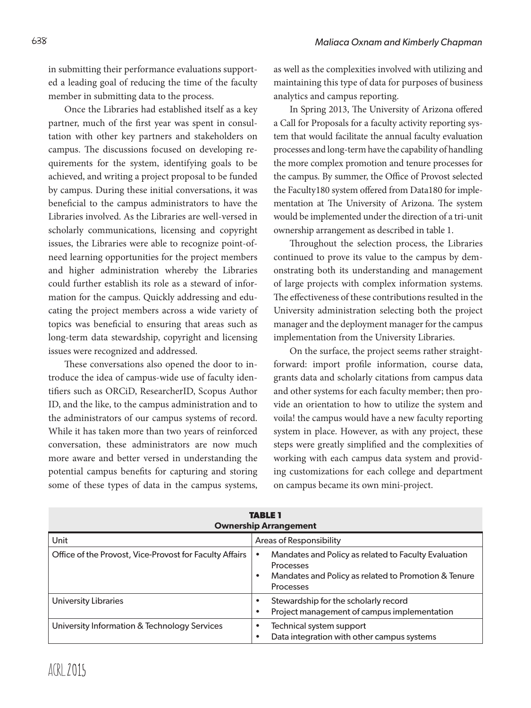in submitting their performance evaluations supported a leading goal of reducing the time of the faculty member in submitting data to the process.

Once the Libraries had established itself as a key partner, much of the first year was spent in consultation with other key partners and stakeholders on campus. The discussions focused on developing requirements for the system, identifying goals to be achieved, and writing a project proposal to be funded by campus. During these initial conversations, it was beneficial to the campus administrators to have the Libraries involved. As the Libraries are well-versed in scholarly communications, licensing and copyright issues, the Libraries were able to recognize point-ofneed learning opportunities for the project members and higher administration whereby the Libraries could further establish its role as a steward of information for the campus. Quickly addressing and educating the project members across a wide variety of topics was beneficial to ensuring that areas such as long-term data stewardship, copyright and licensing issues were recognized and addressed.

These conversations also opened the door to introduce the idea of campus-wide use of faculty identifiers such as ORCiD, ResearcherID, Scopus Author ID, and the like, to the campus administration and to the administrators of our campus systems of record. While it has taken more than two years of reinforced conversation, these administrators are now much more aware and better versed in understanding the potential campus benefits for capturing and storing some of these types of data in the campus systems,

as well as the complexities involved with utilizing and maintaining this type of data for purposes of business analytics and campus reporting.

In Spring 2013, The University of Arizona offered a Call for Proposals for a faculty activity reporting system that would facilitate the annual faculty evaluation processes and long-term have the capability of handling the more complex promotion and tenure processes for the campus. By summer, the Office of Provost selected the Faculty180 system offered from Data180 for implementation at The University of Arizona. The system would be implemented under the direction of a tri-unit ownership arrangement as described in table 1.

Throughout the selection process, the Libraries continued to prove its value to the campus by demonstrating both its understanding and management of large projects with complex information systems. The effectiveness of these contributions resulted in the University administration selecting both the project manager and the deployment manager for the campus implementation from the University Libraries.

On the surface, the project seems rather straightforward: import profile information, course data, grants data and scholarly citations from campus data and other systems for each faculty member; then provide an orientation to how to utilize the system and voila! the campus would have a new faculty reporting system in place. However, as with any project, these steps were greatly simplified and the complexities of working with each campus data system and providing customizations for each college and department on campus became its own mini-project.

| <b>TABLE 1</b><br><b>Ownership Arrangement</b>          |                                                                                                                                        |
|---------------------------------------------------------|----------------------------------------------------------------------------------------------------------------------------------------|
| Unit                                                    | Areas of Responsibility                                                                                                                |
| Office of the Provost, Vice-Provost for Faculty Affairs | Mandates and Policy as related to Faculty Evaluation<br>Processes<br>Mandates and Policy as related to Promotion & Tenure<br>Processes |
| University Libraries                                    | Stewardship for the scholarly record<br>٠<br>Project management of campus implementation<br>٠                                          |
| University Information & Technology Services            | Technical system support<br>٠<br>Data integration with other campus systems<br>$\bullet$                                               |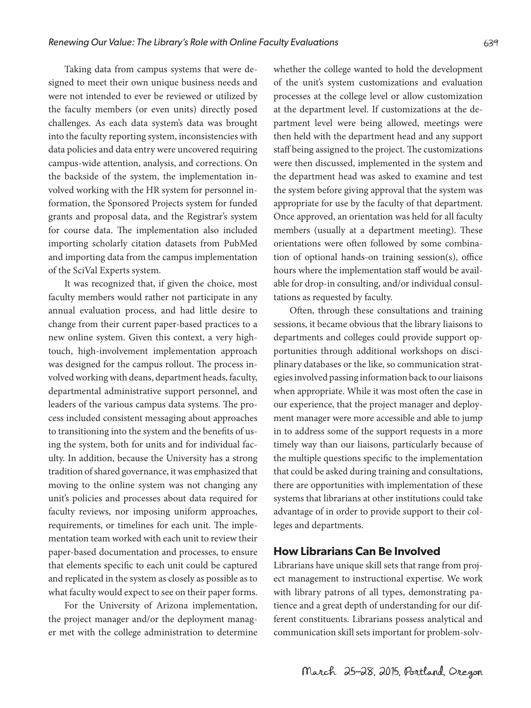Taking data from campus systems that were designed to meet their own unique business needs and were not intended to ever be reviewed or utilized by the faculty members (or even units) directly posed challenges. As each data system's data was brought into the faculty reporting system, inconsistencies with data policies and data entry were uncovered requiring campus-wide attention, analysis, and corrections. On the backside of the system, the implementation involved working with the HR system for personnel information, the Sponsored Projects system for funded grants and proposal data, and the Registrar's system for course data. The implementation also included importing scholarly citation datasets from PubMed and importing data from the campus implementation of the SciVal Experts system.

It was recognized that, if given the choice, most faculty members would rather not participate in any annual evaluation process, and had little desire to change from their current paper-based practices to a new online system. Given this context, a very hightouch, high-involvement implementation approach was designed for the campus rollout. The process involved working with deans, department heads, faculty, departmental administrative support personnel, and leaders of the various campus data systems. The process included consistent messaging about approaches to transitioning into the system and the benefits of using the system, both for units and for individual faculty. In addition, because the University has a strong tradition of shared governance, it was emphasized that moving to the online system was not changing any unit's policies and processes about data required for faculty reviews, nor imposing uniform approaches, requirements, or timelines for each unit. The implementation team worked with each unit to review their paper-based documentation and processes, to ensure that elements specific to each unit could be captured and replicated in the system as closely as possible as to what faculty would expect to see on their paper forms.

For the University of Arizona implementation, the project manager and/or the deployment manager met with the college administration to determine

whether the college wanted to hold the development of the unit's system customizations and evaluation processes at the college level or allow customization at the department level. If customizations at the department level were being allowed, meetings were then held with the department head and any support staff being assigned to the project. The customizations were then discussed, implemented in the system and the department head was asked to examine and test the system before giving approval that the system was appropriate for use by the faculty of that department. Once approved, an orientation was held for all faculty members (usually at a department meeting). These orientations were often followed by some combination of optional hands-on training session(s), office hours where the implementation staff would be available for drop-in consulting, and/or individual consultations as requested by faculty.

Often, through these consultations and training sessions, it became obvious that the library liaisons to departments and colleges could provide support opportunities through additional workshops on disciplinary databases or the like, so communication strategies involved passing information back to our liaisons when appropriate. While it was most often the case in our experience, that the project manager and deployment manager were more accessible and able to jump in to address some of the support requests in a more timely way than our liaisons, particularly because of the multiple questions specific to the implementation that could be asked during training and consultations, there are opportunities with implementation of these systems that librarians at other institutions could take advantage of in order to provide support to their colleges and departments.

## **How Librarians Can Be Involved**

Librarians have unique skill sets that range from project management to instructional expertise. We work with library patrons of all types, demonstrating patience and a great depth of understanding for our different constituents. Librarians possess analytical and communication skill sets important for problem-solv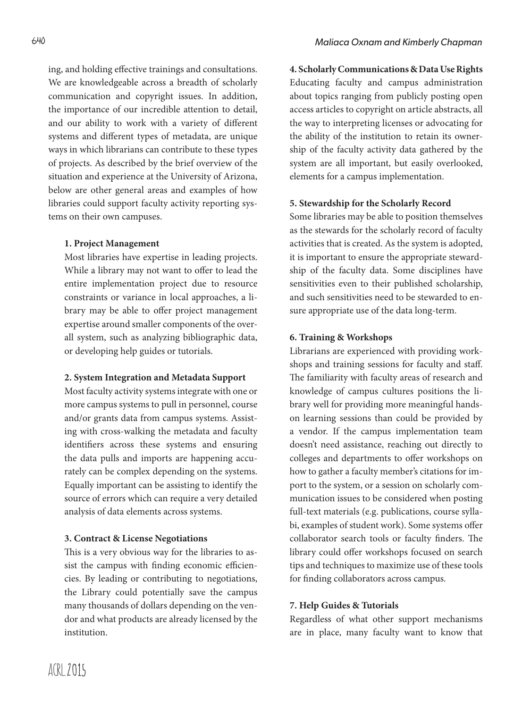ing, and holding effective trainings and consultations. We are knowledgeable across a breadth of scholarly communication and copyright issues. In addition, the importance of our incredible attention to detail, and our ability to work with a variety of different systems and different types of metadata, are unique ways in which librarians can contribute to these types of projects. As described by the brief overview of the situation and experience at the University of Arizona, below are other general areas and examples of how libraries could support faculty activity reporting systems on their own campuses.

## **1. Project Management**

Most libraries have expertise in leading projects. While a library may not want to offer to lead the entire implementation project due to resource constraints or variance in local approaches, a library may be able to offer project management expertise around smaller components of the overall system, such as analyzing bibliographic data, or developing help guides or tutorials.

#### **2. System Integration and Metadata Support**

Most faculty activity systems integrate with one or more campus systems to pull in personnel, course and/or grants data from campus systems. Assisting with cross-walking the metadata and faculty identifiers across these systems and ensuring the data pulls and imports are happening accurately can be complex depending on the systems. Equally important can be assisting to identify the source of errors which can require a very detailed analysis of data elements across systems.

## **3. Contract & License Negotiations**

This is a very obvious way for the libraries to assist the campus with finding economic efficiencies. By leading or contributing to negotiations, the Library could potentially save the campus many thousands of dollars depending on the vendor and what products are already licensed by the institution.

**4. Scholarly Communications & Data Use Rights** Educating faculty and campus administration about topics ranging from publicly posting open access articles to copyright on article abstracts, all the way to interpreting licenses or advocating for the ability of the institution to retain its ownership of the faculty activity data gathered by the system are all important, but easily overlooked, elements for a campus implementation.

## **5. Stewardship for the Scholarly Record**

Some libraries may be able to position themselves as the stewards for the scholarly record of faculty activities that is created. As the system is adopted, it is important to ensure the appropriate stewardship of the faculty data. Some disciplines have sensitivities even to their published scholarship, and such sensitivities need to be stewarded to ensure appropriate use of the data long-term.

## **6. Training & Workshops**

Librarians are experienced with providing workshops and training sessions for faculty and staff. The familiarity with faculty areas of research and knowledge of campus cultures positions the library well for providing more meaningful handson learning sessions than could be provided by a vendor. If the campus implementation team doesn't need assistance, reaching out directly to colleges and departments to offer workshops on how to gather a faculty member's citations for import to the system, or a session on scholarly communication issues to be considered when posting full-text materials (e.g. publications, course syllabi, examples of student work). Some systems offer collaborator search tools or faculty finders. The library could offer workshops focused on search tips and techniques to maximize use of these tools for finding collaborators across campus.

#### **7. Help Guides & Tutorials**

Regardless of what other support mechanisms are in place, many faculty want to know that